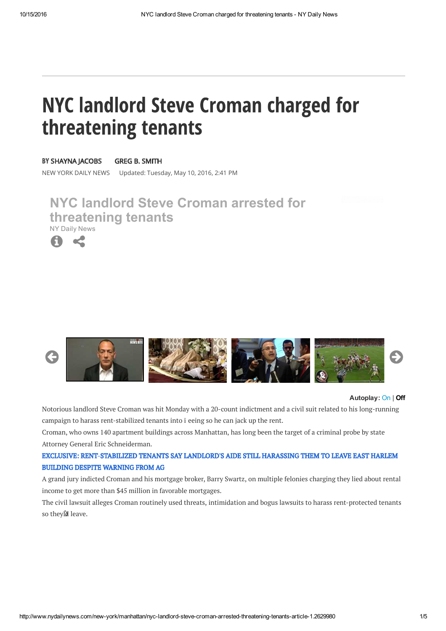# **NYC landlord Steve Croman charged for** threatening tenants

**BY SHAYNA IACOBS** 

#### **GREG B. SMITH**

NEW YORK DAILY NEWS Updated: Tuesday, May 10, 2016, 2:41 PM

# **NYC landlord Steve Croman arrested for threatening tenants** NY Daily News





#### **Autoplay:** On | **Off**

Notorious landlord Steve Croman was hit Monday with a 20-count indictment and a civil suit related to his long-running campaign to harass rent-stabilized tenants into ī eeing so he can jack up the rent.

Croman, who owns 140 apartment buildings across Manhattan, has long been the target of a criminal probe by state Attorney General Eric Schneiderman.

## EXCLUSIVE: RENT-STABILIZED TENANTS SAY LANDLORD'S AIDE STILL HARASSING THEM TO LEAVE EAST HARLEM **BUILDING DESPITE WARNING FROM AG**

A grand jury indicted Croman and his mortgage broker, Barry Swartz, on multiple felonies charging they lied about rental income to get more than \$45 million in favorable mortgages.

The civil lawsuit alleges Croman routinely used threats, intimidation and bogus lawsuits to harass rent-protected tenants so theyĎd leave.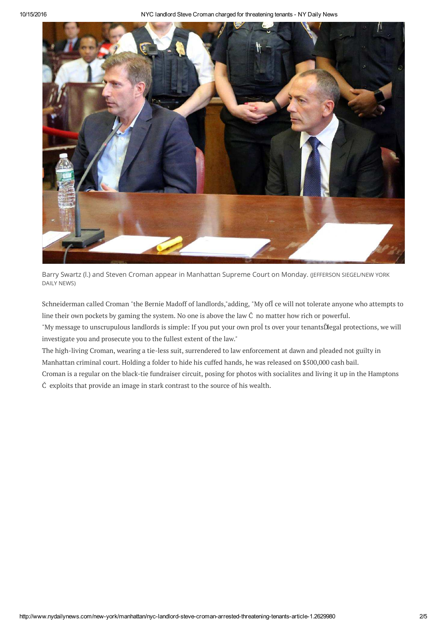10/15/2016 NYC landlord Steve Croman charged for threatening tenants - NY Daily News



Barry Swartz (I.) and Steven Croman appear in Manhattan Supreme Court on Monday. (JEFFERSON SIEGEL/NEW YORK DAILY NEWS)

Schneiderman called Croman "the Bernie Madoff of landlords,"adding, "My ofĪ ce will not tolerate anyone who attempts to line their own pockets by gaming the system. No one is above the law Č no matter how rich or powerful.

"My message to unscrupulous landlords is simple: If you put your own proĪ ts over your tenantsĎ legal protections, we will investigate you and prosecute you to the fullest extent of the law."

The high-living Croman, wearing a tie-less suit, surrendered to law enforcement at dawn and pleaded not guilty in Manhattan criminal court. Holding a folder to hide his cuffed hands, he was released on \$500,000 cash bail.

Croman is a regular on the black-tie fundraiser circuit, posing for photos with socialites and living it up in the Hamptons Č exploits that provide an image in stark contrast to the source of his wealth.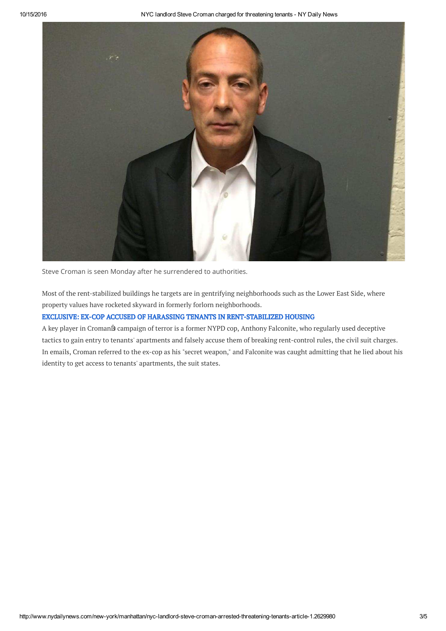

Steve Croman is seen Monday after he surrendered to authorities.

Most of the rent-stabilized buildings he targets are in gentrifying neighborhoods such as the Lower East Side, where property values have rocketed skyward in formerly forlorn neighborhoods.

### EXCLUSIVE: EX-COP ACCUSED OF HARASSING TENANTS IN RENT-STABILIZED HOUSING

A key player in CromanĎs campaign of terror is a former NYPD cop, Anthony Falconite, who regularly used deceptive tactics to gain entry to tenants' apartments and falsely accuse them of breaking rent-control rules, the civil suit charges. In emails, Croman referred to the ex-cop as his "secret weapon," and Falconite was caught admitting that he lied about his identity to get access to tenants' apartments, the suit states.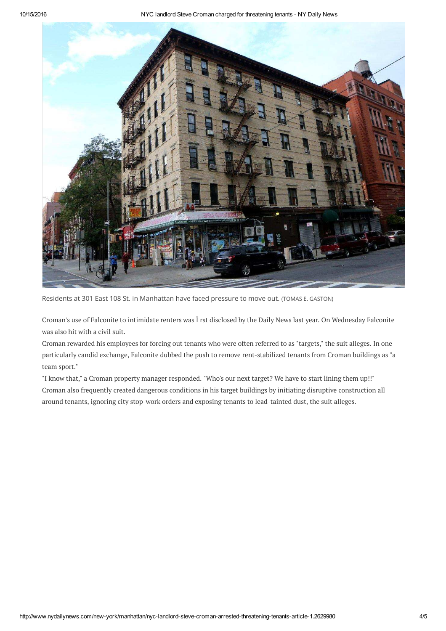10/15/2016 NYC landlord Steve Croman charged for threatening tenants - NY Daily News



Residents at 301 East 108 St. in Manhattan have faced pressure to move out. (TOMAS E. GASTON)

Croman's use of Falconite to intimidate renters was Ī rst disclosed by the Daily News last year. On Wednesday Falconite was also hit with a civil suit.

Croman rewarded his employees for forcing out tenants who were often referred to as "targets," the suit alleges. In one particularly candid exchange, Falconite dubbed the push to remove rent-stabilized tenants from Croman buildings as "a team sport."

"I know that," a Croman property manager responded. "Who's our next target? We have to start lining them up!!" Croman also frequently created dangerous conditions in his target buildings by initiating disruptive construction all around tenants, ignoring city stop-work orders and exposing tenants to lead-tainted dust, the suit alleges.